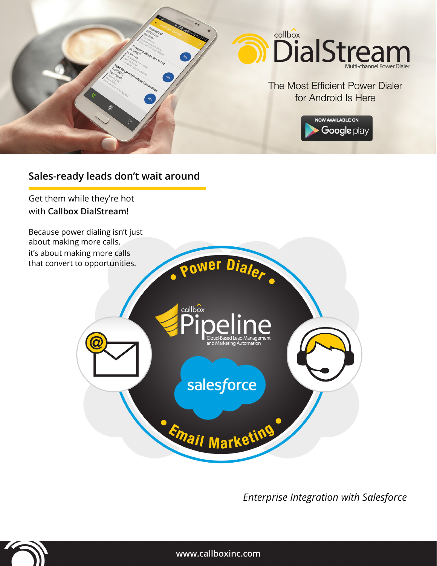

# **Sales-ready leads don't wait around**

Get them while they're hot with **Callbox DialStream!**

Because power dialing isn't just about making more calls, it's about making more calls that convert to opportunities.



*Enterprise Integration with Salesforce*



**www.callboxinc.com**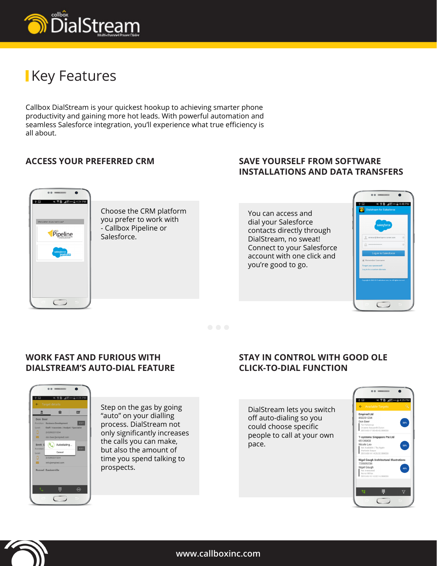

# **Key Features**

Callbox DialStream is your quickest hookup to achieving smarter phone productivity and gaining more hot leads. With powerful automation and seamless Salesforce integration, you'll experience what true efficiency is all about.

## **ACCESS YOUR PREFERRED CRM**

### **Save yourself from software installations and data transfers**



Choose the CRM platform you prefer to work with - Callbox Pipeline or Salesforce.

You can access and dial your Salesforce contacts directly through DialStream, no sweat! Connect to your Salesforce account with one click and you're good to go.



### **Work fast and furious with DialStream's Auto-Dial feature**



Step on the gas by going "auto" on your dialling process. DialStream not only significantly increases the calls you can make, but also the amount of time you spend talking to prospects.

## **Stay in control with good ole Click-To-Dial function**

DialStream lets you switch off auto-dialing so you could choose specific people to call at your own pace.